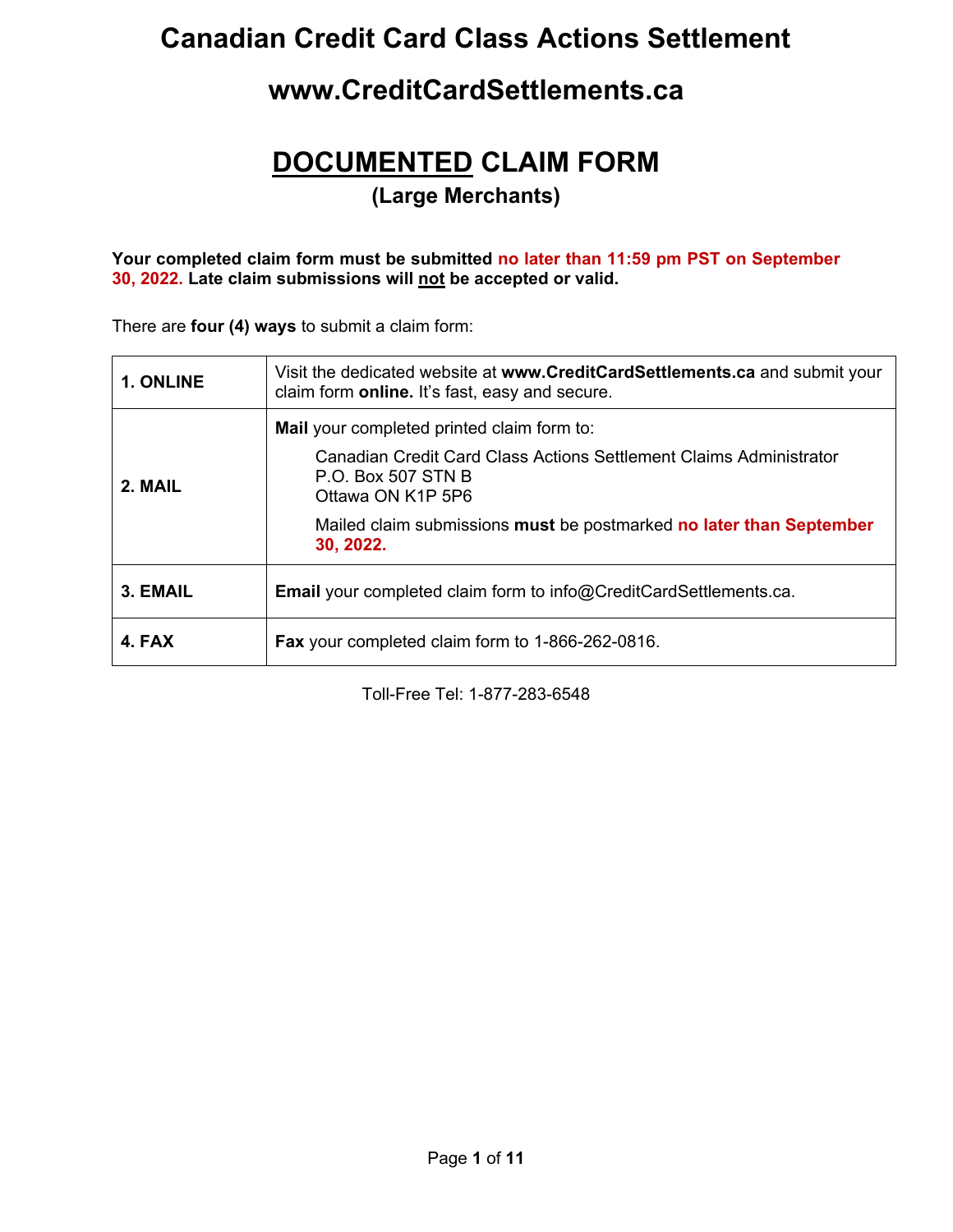## **Canadian Credit Card Class Actions Settlement**

## **www.CreditCardSettlements.ca**

# **DOCUMENTED CLAIM FORM**

**(Large Merchants)**

#### **Your completed claim form must be submitted no later than 11:59 pm PST on September 30, 2022. Late claim submissions will not be accepted or valid.**

There are **four (4) ways** to submit a claim form:

| 1. ONLINE | Visit the dedicated website at www.CreditCardSettlements.ca and submit your<br>claim form <b>online.</b> It's fast, easy and secure.                                                                                                                          |  |  |  |  |
|-----------|---------------------------------------------------------------------------------------------------------------------------------------------------------------------------------------------------------------------------------------------------------------|--|--|--|--|
| 2. MAIL   | <b>Mail</b> your completed printed claim form to:<br>Canadian Credit Card Class Actions Settlement Claims Administrator<br><b>P.O. Box 507 STN B</b><br>Ottawa ON K1P 5P6<br>Mailed claim submissions must be postmarked no later than September<br>30, 2022. |  |  |  |  |
| 3. EMAIL  | <b>Email</b> your completed claim form to info@CreditCardSettlements.ca.                                                                                                                                                                                      |  |  |  |  |
| 4. FAX    | <b>Fax</b> your completed claim form to 1-866-262-0816.                                                                                                                                                                                                       |  |  |  |  |

Toll-Free Tel: 1-877-283-6548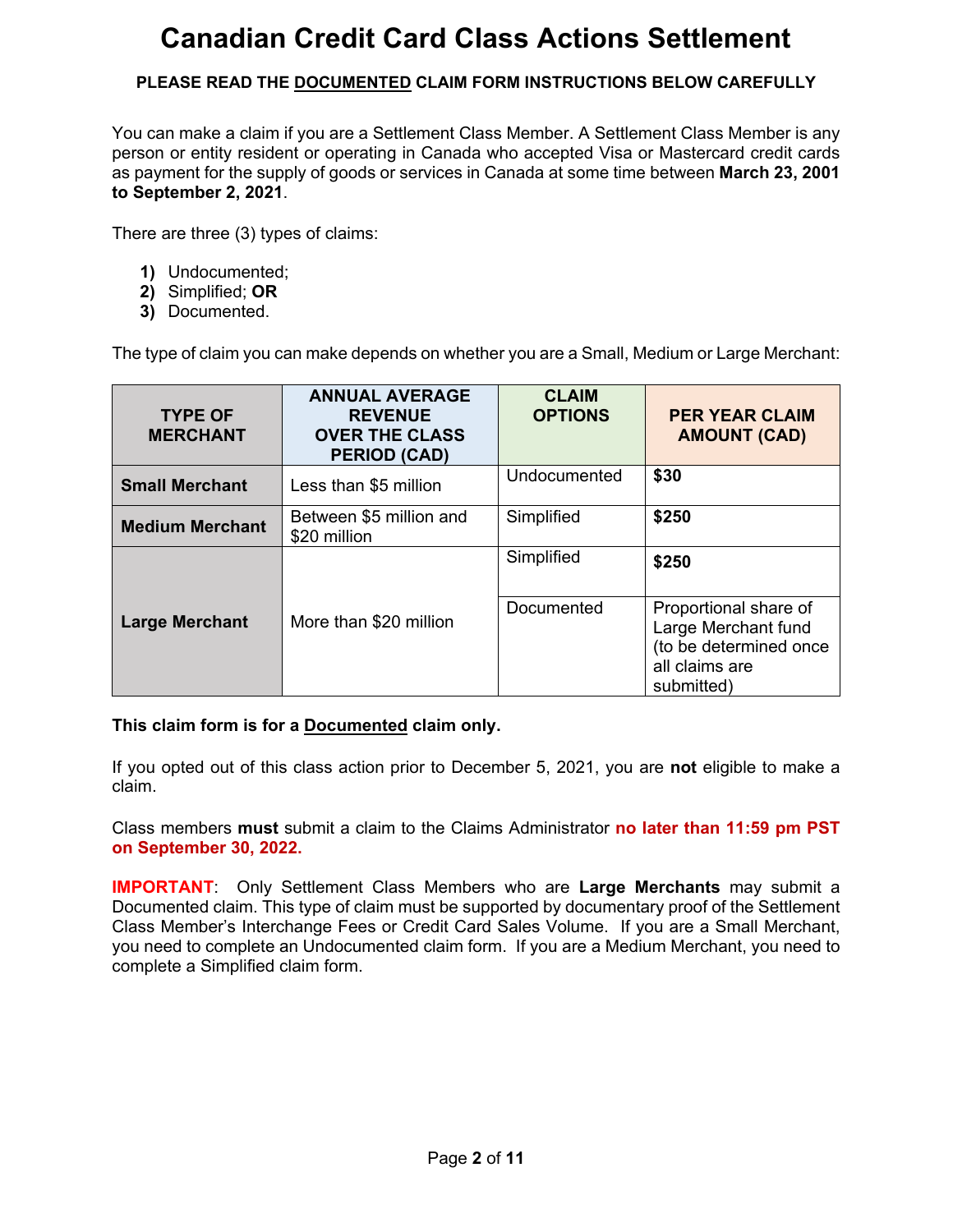# **Canadian Credit Card Class Actions Settlement**

### **PLEASE READ THE DOCUMENTED CLAIM FORM INSTRUCTIONS BELOW CAREFULLY**

You can make a claim if you are a Settlement Class Member. A Settlement Class Member is any person or entity resident or operating in Canada who accepted Visa or Mastercard credit cards as payment for the supply of goods or services in Canada at some time between **March 23, 2001 to September 2, 2021**.

There are three (3) types of claims:

- **1)** Undocumented;
- **2)** Simplified; **OR**
- **3)** Documented.

The type of claim you can make depends on whether you are a Small, Medium or Large Merchant:

| <b>TYPE OF</b><br><b>MERCHANT</b> | <b>ANNUAL AVERAGE</b><br><b>REVENUE</b><br><b>OVER THE CLASS</b><br><b>PERIOD (CAD)</b> | <b>CLAIM</b><br><b>OPTIONS</b> | <b>PER YEAR CLAIM</b><br><b>AMOUNT (CAD)</b>                                                           |
|-----------------------------------|-----------------------------------------------------------------------------------------|--------------------------------|--------------------------------------------------------------------------------------------------------|
| <b>Small Merchant</b>             | Less than \$5 million                                                                   | Undocumented                   | \$30                                                                                                   |
| <b>Medium Merchant</b>            | Between \$5 million and<br>\$20 million                                                 | Simplified                     | \$250                                                                                                  |
|                                   |                                                                                         | Simplified                     | \$250                                                                                                  |
| <b>Large Merchant</b>             | More than \$20 million                                                                  | Documented                     | Proportional share of<br>Large Merchant fund<br>(to be determined once<br>all claims are<br>submitted) |

#### **This claim form is for a Documented claim only.**

If you opted out of this class action prior to December 5, 2021, you are **not** eligible to make a claim.

Class members **must** submit a claim to the Claims Administrator **no later than 11:59 pm PST on September 30, 2022.**

**IMPORTANT**: Only Settlement Class Members who are **Large Merchants** may submit a Documented claim. This type of claim must be supported by documentary proof of the Settlement Class Member's Interchange Fees or Credit Card Sales Volume. If you are a Small Merchant, you need to complete an Undocumented claim form. If you are a Medium Merchant, you need to complete a Simplified claim form.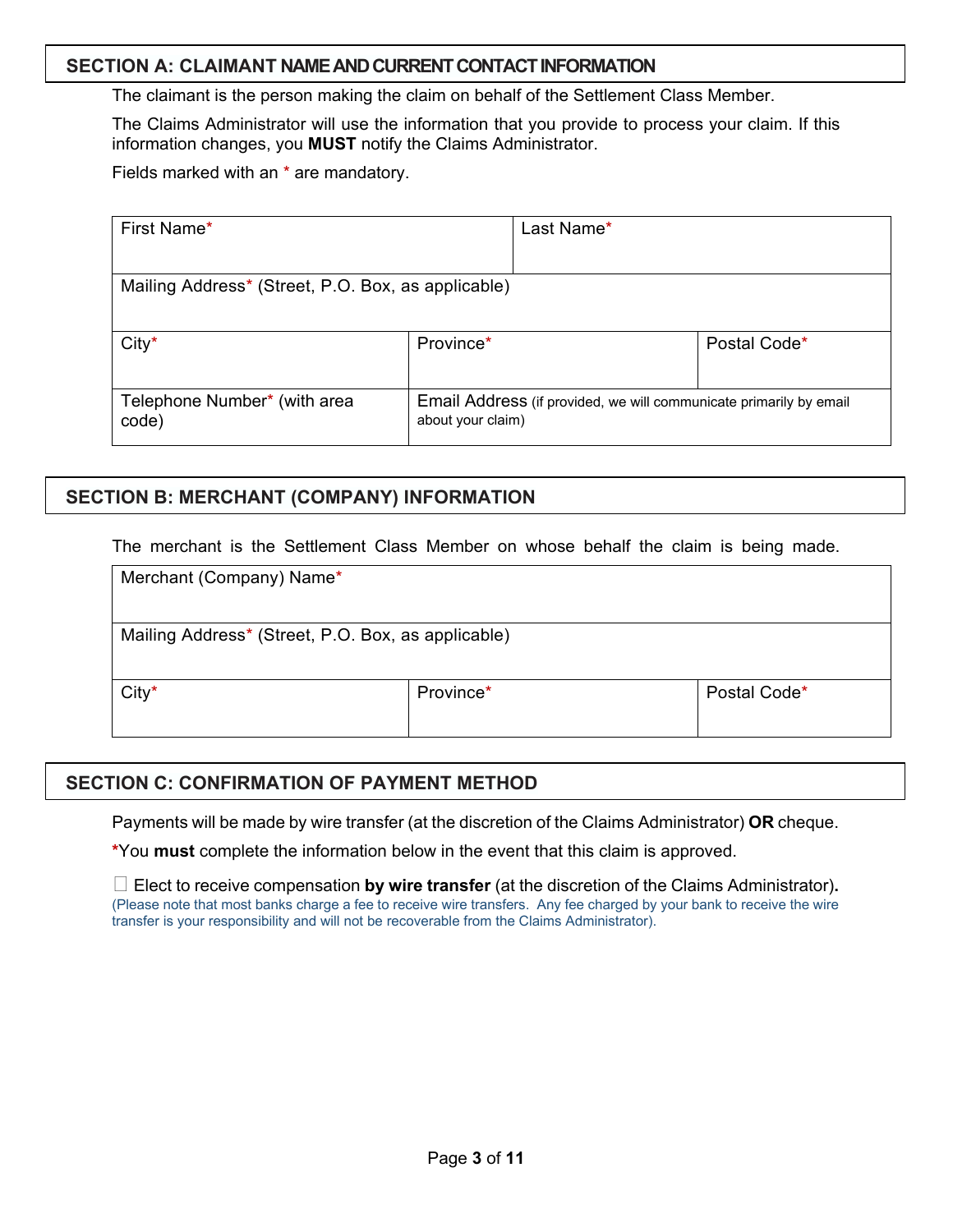#### **SECTION A: CLAIMANT NAME AND CURRENT CONTACTINFORMATION**

The claimant is the person making the claim on behalf of the Settlement Class Member.

The Claims Administrator will use the information that you provide to process your claim. If this information changes, you **MUST** notify the Claims Administrator.

Fields marked with an \* are mandatory.

| First Name*                                                |           | Last Name*                                                         |              |
|------------------------------------------------------------|-----------|--------------------------------------------------------------------|--------------|
| Mailing Address* (Street, P.O. Box, as applicable)         |           |                                                                    |              |
| $City*$                                                    | Province* |                                                                    | Postal Code* |
| Telephone Number* (with area<br>about your claim)<br>code) |           | Email Address (if provided, we will communicate primarily by email |              |

### **SECTION B: MERCHANT (COMPANY) INFORMATION**

The merchant is the Settlement Class Member on whose behalf the claim is being made.

| Merchant (Company) Name*                           |           |              |
|----------------------------------------------------|-----------|--------------|
| Mailing Address* (Street, P.O. Box, as applicable) |           |              |
| $City*$                                            | Province* | Postal Code* |

#### **SECTION C: CONFIRMATION OF PAYMENT METHOD**

Payments will be made by wire transfer (at the discretion of the Claims Administrator) **OR** cheque.

**\***You **must** complete the information below in the event that this claim is approved.

 $\Box$  Elect to receive compensation **by wire transfer** (at the discretion of the Claims Administrator). (Please note that most banks charge a fee to receive wire transfers. Any fee charged by your bank to receive the wire transfer is your responsibility and will not be recoverable from the Claims Administrator).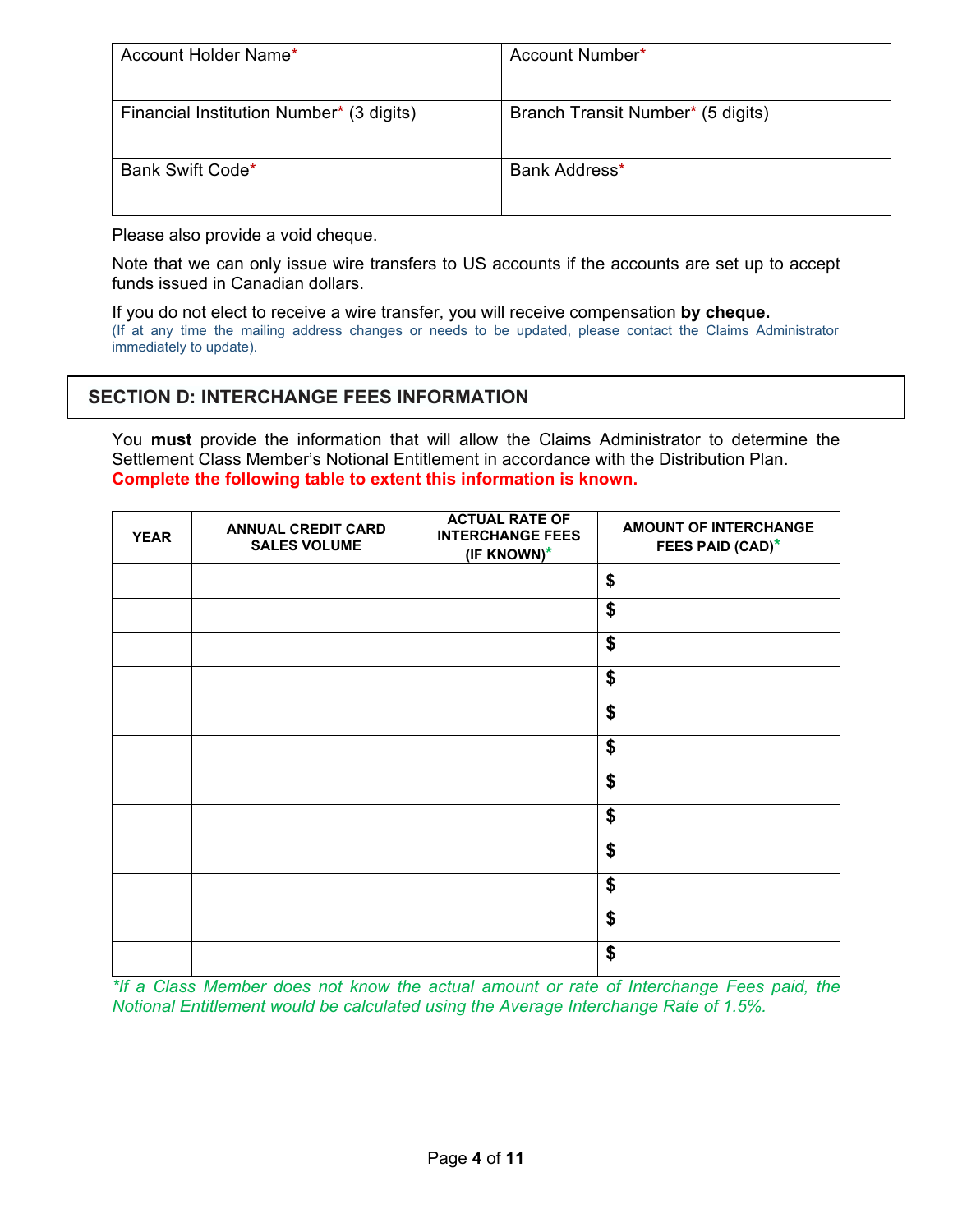| Account Holder Name*                     | Account Number*                   |
|------------------------------------------|-----------------------------------|
| Financial Institution Number* (3 digits) | Branch Transit Number* (5 digits) |
| Bank Swift Code*                         | Bank Address*                     |

Please also provide a void cheque.

Note that we can only issue wire transfers to US accounts if the accounts are set up to accept funds issued in Canadian dollars.

If you do not elect to receive a wire transfer, you will receive compensation **by cheque.**  (If at any time the mailing address changes or needs to be updated, please contact the Claims Administrator immediately to update).

## **SECTION D: INTERCHANGE FEES INFORMATION**

You **must** provide the information that will allow the Claims Administrator to determine the Settlement Class Member's Notional Entitlement in accordance with the Distribution Plan. **Complete the following table to extent this information is known.** 

| <b>YEAR</b> | <b>ANNUAL CREDIT CARD</b><br><b>SALES VOLUME</b> | <b>ACTUAL RATE OF</b><br><b>INTERCHANGE FEES</b><br>(IF KNOWN)* | <b>AMOUNT OF INTERCHANGE</b><br><b>FEES PAID (CAD)*</b> |
|-------------|--------------------------------------------------|-----------------------------------------------------------------|---------------------------------------------------------|
|             |                                                  |                                                                 | \$                                                      |
|             |                                                  |                                                                 | \$                                                      |
|             |                                                  |                                                                 | \$                                                      |
|             |                                                  |                                                                 | \$                                                      |
|             |                                                  |                                                                 | \$                                                      |
|             |                                                  |                                                                 | \$                                                      |
|             |                                                  |                                                                 | \$                                                      |
|             |                                                  |                                                                 | \$                                                      |
|             |                                                  |                                                                 | \$                                                      |
|             |                                                  |                                                                 | \$                                                      |
|             |                                                  |                                                                 | \$                                                      |
|             |                                                  |                                                                 | \$                                                      |

*\*If a Class Member does not know the actual amount or rate of Interchange Fees paid, the Notional Entitlement would be calculated using the Average Interchange Rate of 1.5%.*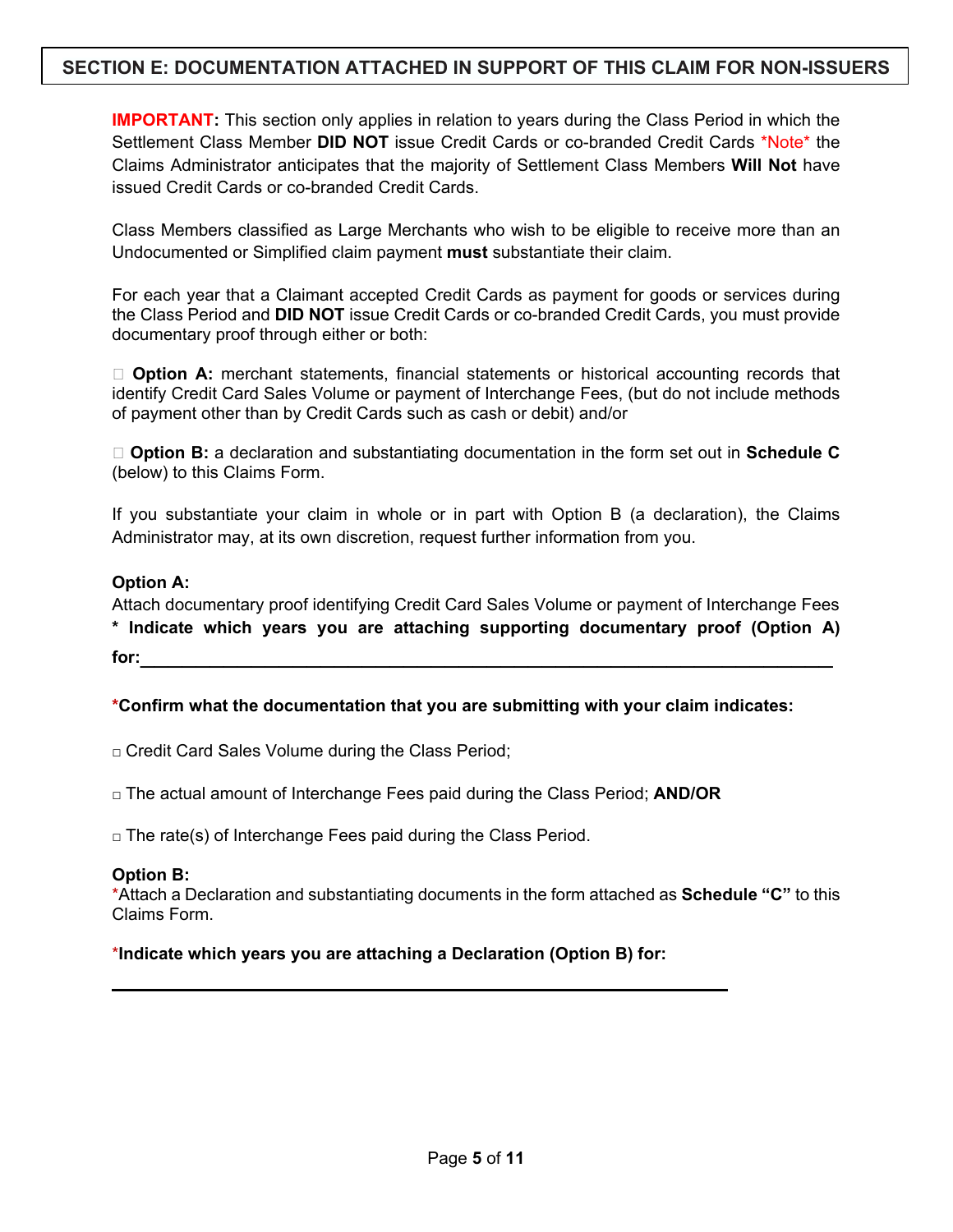## **SECTION E: DOCUMENTATION ATTACHED IN SUPPORT OF THIS CLAIM FOR NON-ISSUERS**

**IMPORTANT:** This section only applies in relation to years during the Class Period in which the Settlement Class Member **DID NOT** issue Credit Cards or co-branded Credit Cards \*Note\* the Claims Administrator anticipates that the majority of Settlement Class Members **Will Not** have issued Credit Cards or co-branded Credit Cards.

Class Members classified as Large Merchants who wish to be eligible to receive more than an Undocumented or Simplified claim payment **must** substantiate their claim.

For each year that a Claimant accepted Credit Cards as payment for goods or services during the Class Period and **DID NOT** issue Credit Cards or co-branded Credit Cards, you must provide documentary proof through either or both:

□ **Option A:** merchant statements, financial statements or historical accounting records that identify Credit Card Sales Volume or payment of Interchange Fees, (but do not include methods of payment other than by Credit Cards such as cash or debit) and/or

□ **Option B:** a declaration and substantiating documentation in the form set out in **Schedule C** (below) to this Claims Form.

If you substantiate your claim in whole or in part with Option B (a declaration), the Claims Administrator may, at its own discretion, request further information from you.

#### **Option A:**

Attach documentary proof identifying Credit Card Sales Volume or payment of Interchange Fees **\* Indicate which years you are attaching supporting documentary proof (Option A)**

**for:**\_\_\_\_\_\_\_\_\_\_\_\_\_\_\_\_\_\_\_\_\_\_\_\_\_\_\_\_\_\_\_\_\_\_\_\_\_\_\_\_\_\_\_\_\_\_\_\_\_\_

**\*Confirm what the documentation that you are submitting with your claim indicates:** 

□ Credit Card Sales Volume during the Class Period;

□ The actual amount of Interchange Fees paid during the Class Period; **AND/OR**

 $\Box$  The rate(s) of Interchange Fees paid during the Class Period.

#### **Option B:**

\*Attach a Declaration and substantiating documents in the form attached as **Schedule "C"** to this Claims Form.

#### \***Indicate which years you are attaching a Declaration (Option B) for:**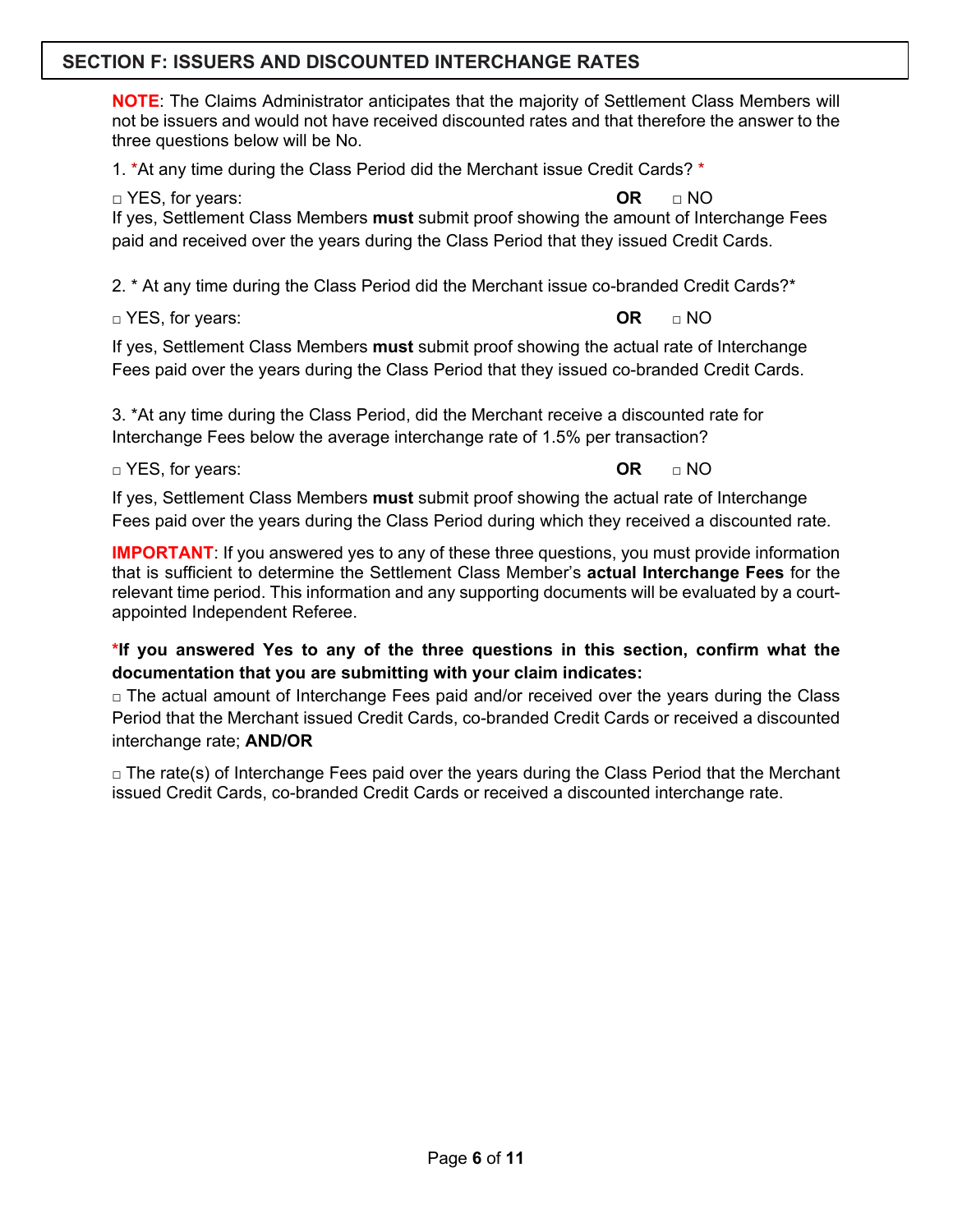## **SECTION F: ISSUERS AND DISCOUNTED INTERCHANGE RATES**

**NOTE**: The Claims Administrator anticipates that the majority of Settlement Class Members will not be issuers and would not have received discounted rates and that therefore the answer to the three questions below will be No.

1. \*At any time during the Class Period did the Merchant issue Credit Cards? \*

□ YES, for years: **OR** □ NO

If yes, Settlement Class Members **must** submit proof showing the amount of Interchange Fees paid and received over the years during the Class Period that they issued Credit Cards.

2. \* At any time during the Class Period did the Merchant issue co-branded Credit Cards?\*

□ YES, for years: **OR** □ NO

If yes, Settlement Class Members **must** submit proof showing the actual rate of Interchange Fees paid over the years during the Class Period that they issued co-branded Credit Cards.

3. \*At any time during the Class Period, did the Merchant receive a discounted rate for Interchange Fees below the average interchange rate of 1.5% per transaction?

□ YES, for years: **OR** □ NO

If yes, Settlement Class Members **must** submit proof showing the actual rate of Interchange Fees paid over the years during the Class Period during which they received a discounted rate.

**IMPORTANT:** If you answered yes to any of these three questions, you must provide information that is sufficient to determine the Settlement Class Member's **actual Interchange Fees** for the relevant time period. This information and any supporting documents will be evaluated by a courtappointed Independent Referee.

**\*If you answered Yes to any of the three questions in this section, confirm what the documentation that you are submitting with your claim indicates:**

 $\Box$  The actual amount of Interchange Fees paid and/or received over the years during the Class Period that the Merchant issued Credit Cards, co-branded Credit Cards or received a discounted interchange rate; **AND/OR**

 $\Box$  The rate(s) of Interchange Fees paid over the years during the Class Period that the Merchant issued Credit Cards, co-branded Credit Cards or received a discounted interchange rate.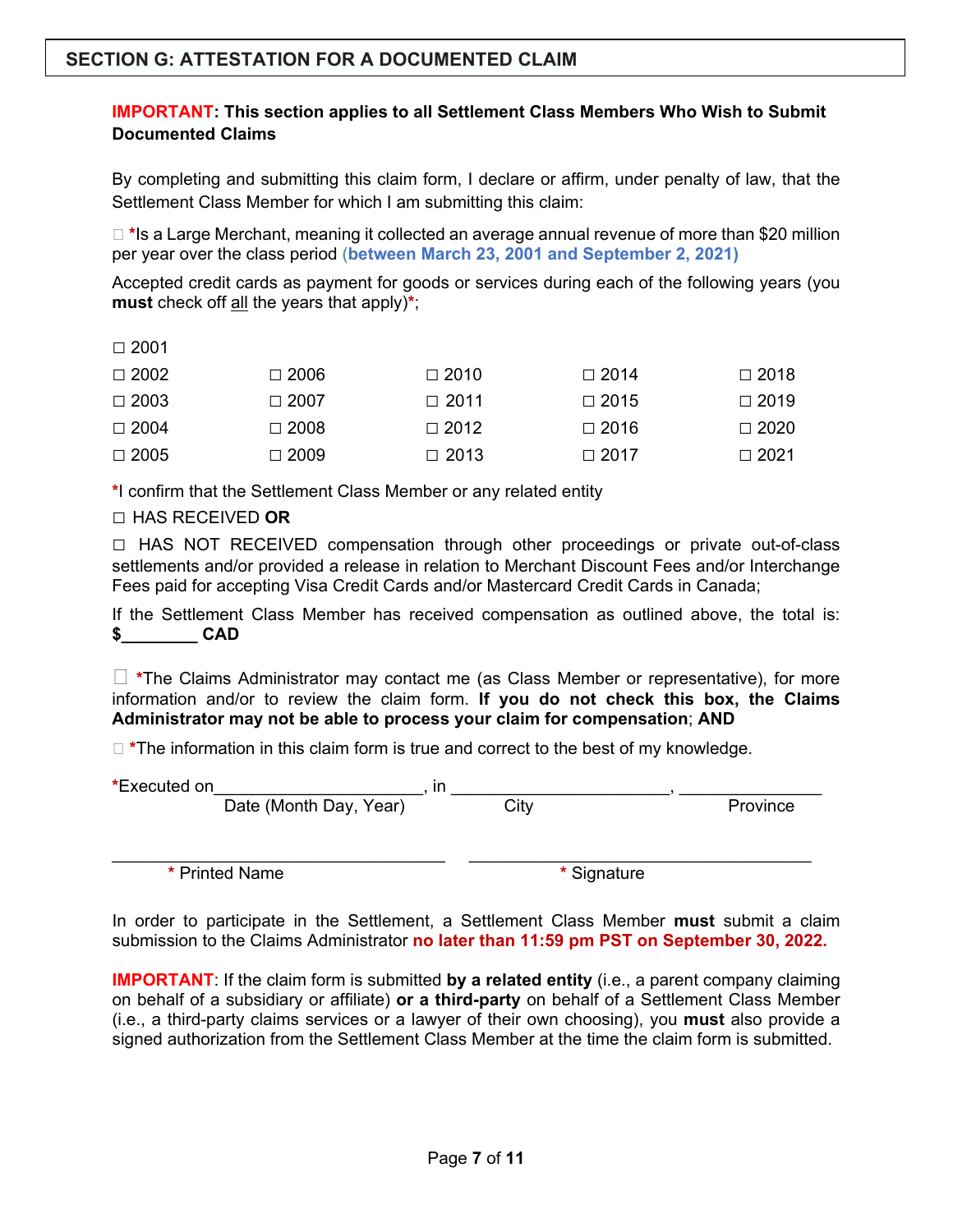### **IMPORTANT: This section applies to all Settlement Class Members Who Wish to Submit Documented Claims**

By completing and submitting this claim form, I declare or affirm, under penalty of law, that the Settlement Class Member for which I am submitting this claim:

□ \*Is a Large Merchant, meaning it collected an average annual revenue of more than \$20 million per year over the class period (**between March 23, 2001 and September 2, 2021)**

Accepted credit cards as payment for goods or services during each of the following years (you **must** check off all the years that apply)**\***;

|--|

| $\Box$ 2002 | $\Box$ 2006 | $\Box$ 2010 | $\Box$ 2014 | $\Box$ 2018 |
|-------------|-------------|-------------|-------------|-------------|
| $\Box$ 2003 | $\Box$ 2007 | $\Box$ 2011 | $\Box$ 2015 | $\Box$ 2019 |
| $\Box$ 2004 | $\Box$ 2008 | $\Box$ 2012 | $\Box$ 2016 | $\Box$ 2020 |
| $\Box$ 2005 | $\Box$ 2009 | $\Box$ 2013 | $\Box$ 2017 | $\Box$ 2021 |

**\***I confirm that the Settlement Class Member or any related entity

#### **□** HAS RECEIVED **OR**

**□** HAS NOT RECEIVED compensation through other proceedings or private out-of-class settlements and/or provided a release in relation to Merchant Discount Fees and/or Interchange Fees paid for accepting Visa Credit Cards and/or Mastercard Credit Cards in Canada;

If the Settlement Class Member has received compensation as outlined above, the total is: **\$\_\_\_\_\_\_\_\_ CAD**

� **\***The Claims Administrator may contact me (as Class Member or representative), for more information and/or to review the claim form. **If you do not check this box, the Claims Administrator may not be able to process your claim for compensation**; **AND**

 $\Box$  \*The information in this claim form is true and correct to the best of my knowledge.

| *Executed on |                        | . |      |          |
|--------------|------------------------|---|------|----------|
|              | Date (Month Day, Year) |   | City | Province |
|              |                        |   |      |          |

 $\_$  , and the contribution of the contribution of  $\mathcal{L}_\mathbf{z}$  , and the contribution of  $\mathcal{L}_\mathbf{z}$ 

**\*** Printed Name **\*** Signature

In order to participate in the Settlement, a Settlement Class Member **must** submit a claim submission to the Claims Administrator **no later than 11:59 pm PST on September 30, 2022.** 

**IMPORTANT**: If the claim form is submitted **by a related entity** (i.e., a parent company claiming on behalf of a subsidiary or affiliate) **or a third-party** on behalf of a Settlement Class Member (i.e., a third-party claims services or a lawyer of their own choosing), you **must** also provide a signed authorization from the Settlement Class Member at the time the claim form is submitted.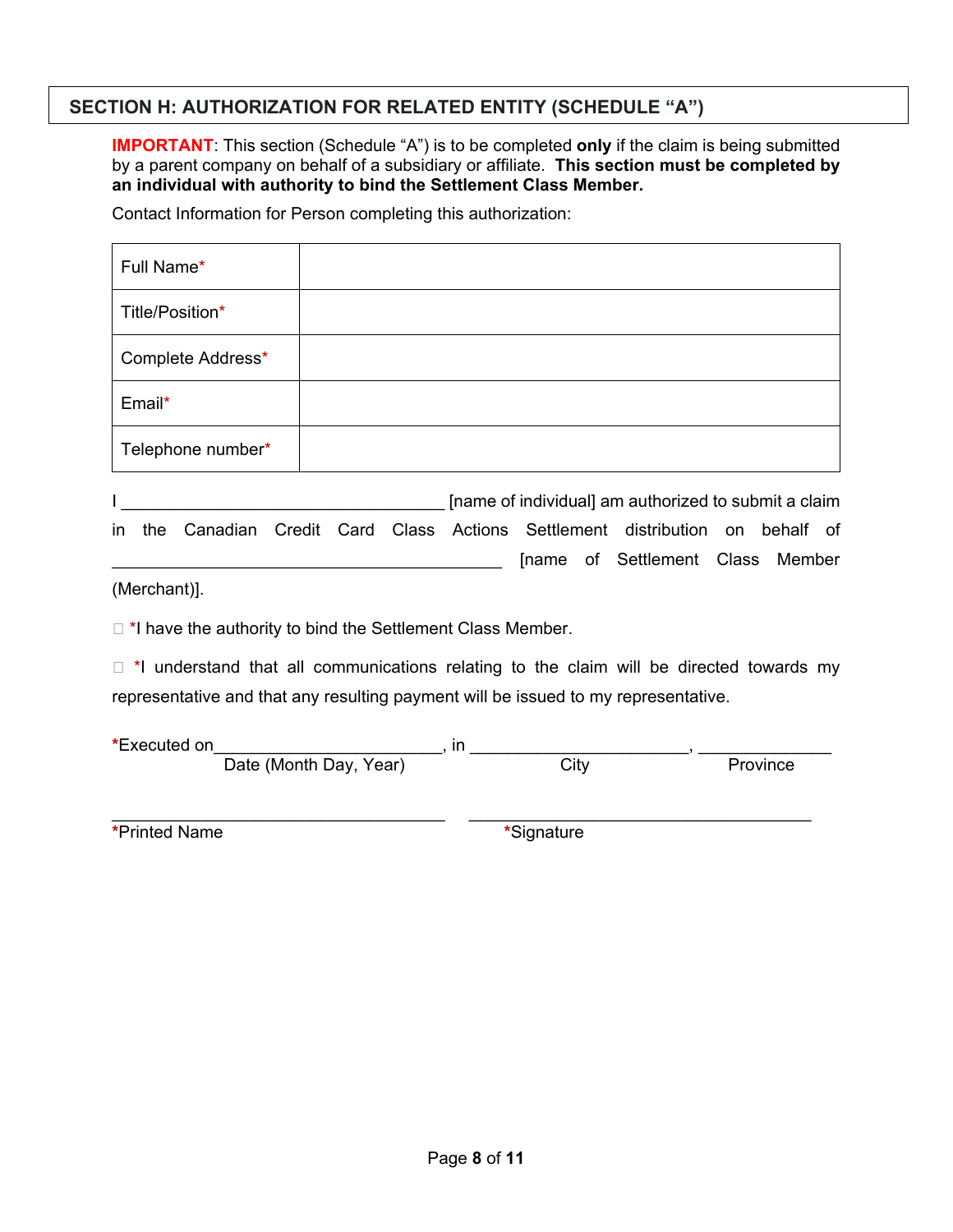## **SECTION H: AUTHORIZATION FOR RELATED ENTITY (SCHEDULE "A")**

**IMPORTANT**: This section (Schedule "A") is to be completed **only** if the claim is being submitted by a parent company on behalf of a subsidiary or affiliate. **This section must be completed by an individual with authority to bind the Settlement Class Member.** 

Contact Information for Person completing this authorization:

| Full Name*        |                                                                                                                                                                                                                                    |
|-------------------|------------------------------------------------------------------------------------------------------------------------------------------------------------------------------------------------------------------------------------|
| Title/Position*   |                                                                                                                                                                                                                                    |
| Complete Address* |                                                                                                                                                                                                                                    |
| Email*            |                                                                                                                                                                                                                                    |
| Telephone number* |                                                                                                                                                                                                                                    |
|                   | the contract of the contract of the contract of the contract of the contract of the contract of the contract of<br>the contract of the contract of the contract of the contract of the contract of the contract of the contract of |

I \_\_\_\_\_\_\_\_\_\_\_\_\_\_\_\_\_\_\_\_\_\_\_\_\_\_\_\_\_\_\_\_\_\_ [name of individual] am authorized to submit a claim in the Canadian Credit Card Class Actions Settlement distribution on behalf of [name of Settlement Class Member

(Merchant)].

 $\Box$  \*I have the authority to bind the Settlement Class Member.

 $\Box$  \*I understand that all communications relating to the claim will be directed towards my representative and that any resulting payment will be issued to my representative.

| *Executed on |                        |      |          |
|--------------|------------------------|------|----------|
|              | Date (Month Day, Year) | City | Province |

**\***Printed Name **\***Signature

\_\_\_\_\_\_\_\_\_\_\_\_\_\_\_\_\_\_\_\_\_\_\_\_\_\_\_\_\_\_\_\_\_\_\_ \_\_\_\_\_\_\_\_\_\_\_\_\_\_\_\_\_\_\_\_\_\_\_\_\_\_\_\_\_\_\_\_\_\_\_\_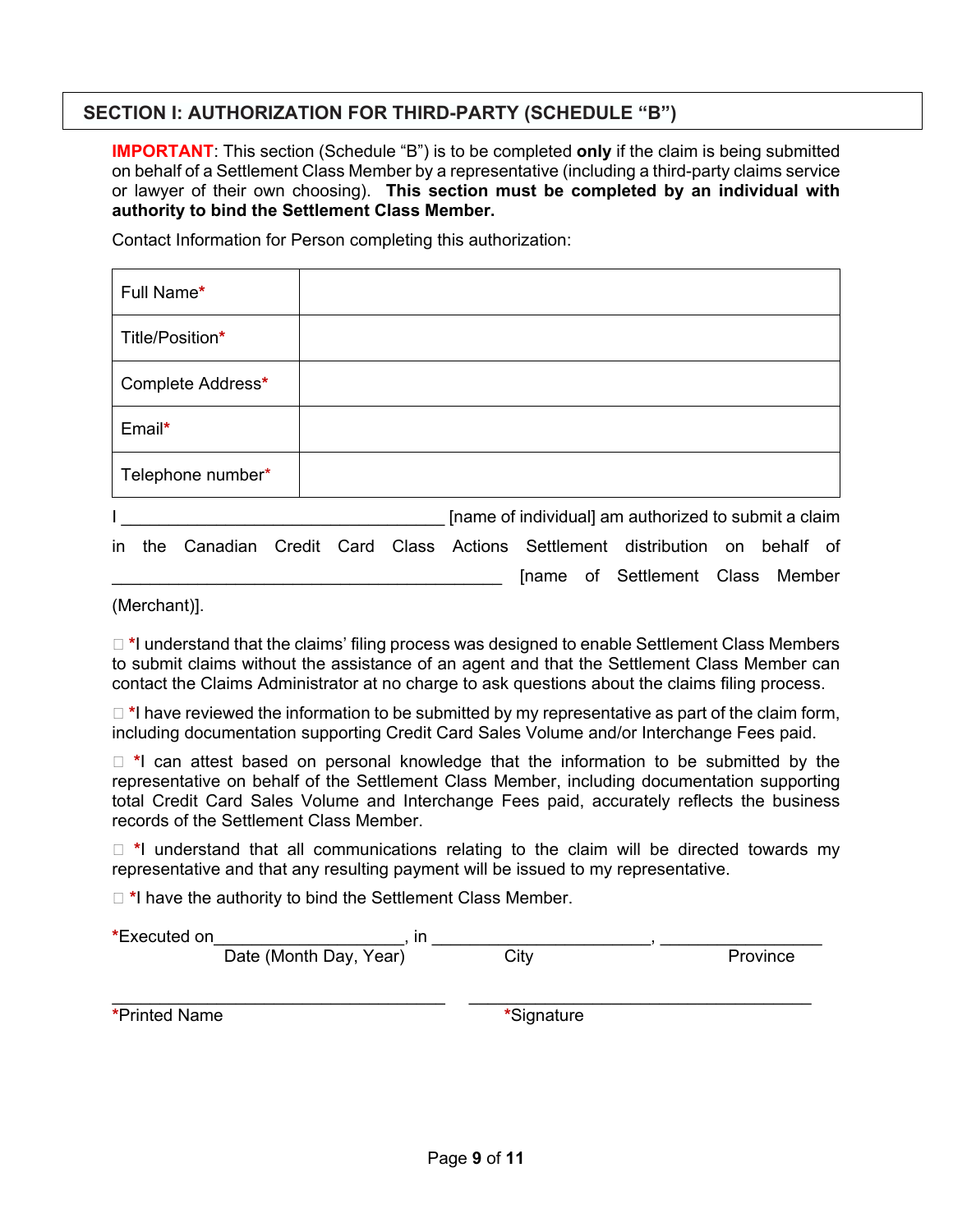## **SECTION I: AUTHORIZATION FOR THIRD-PARTY (SCHEDULE "B")**

**IMPORTANT**: This section (Schedule "B") is to be completed **only** if the claim is being submitted on behalf of a Settlement Class Member by a representative (including a third-party claims service or lawyer of their own choosing). **This section must be completed by an individual with authority to bind the Settlement Class Member.**

Contact Information for Person completing this authorization:

| Full Name*                                                                        |  |  |                                                      |  |    |
|-----------------------------------------------------------------------------------|--|--|------------------------------------------------------|--|----|
| Title/Position*                                                                   |  |  |                                                      |  |    |
| Complete Address*                                                                 |  |  |                                                      |  |    |
| Email*                                                                            |  |  |                                                      |  |    |
| Telephone number*                                                                 |  |  |                                                      |  |    |
|                                                                                   |  |  | [name of individual] am authorized to submit a claim |  |    |
| Canadian Credit Card Class Actions Settlement distribution on behalf<br>in<br>the |  |  |                                                      |  | of |

(Merchant)].

□ \*I understand that the claims' filing process was designed to enable Settlement Class Members to submit claims without the assistance of an agent and that the Settlement Class Member can contact the Claims Administrator at no charge to ask questions about the claims filing process.

[name of Settlement Class Member

 $\Box$  \*I have reviewed the information to be submitted by my representative as part of the claim form, including documentation supporting Credit Card Sales Volume and/or Interchange Fees paid.

□ \*I can attest based on personal knowledge that the information to be submitted by the representative on behalf of the Settlement Class Member, including documentation supporting total Credit Card Sales Volume and Interchange Fees paid, accurately reflects the business records of the Settlement Class Member.

� **\***I understand that all communications relating to the claim will be directed towards my representative and that any resulting payment will be issued to my representative.

□ \*I have the authority to bind the Settlement Class Member.

| *Executed on         | ın                     |            |          |  |
|----------------------|------------------------|------------|----------|--|
|                      | Date (Month Day, Year) | City       | Province |  |
|                      |                        |            |          |  |
| <b>*Printed Name</b> |                        | *Signature |          |  |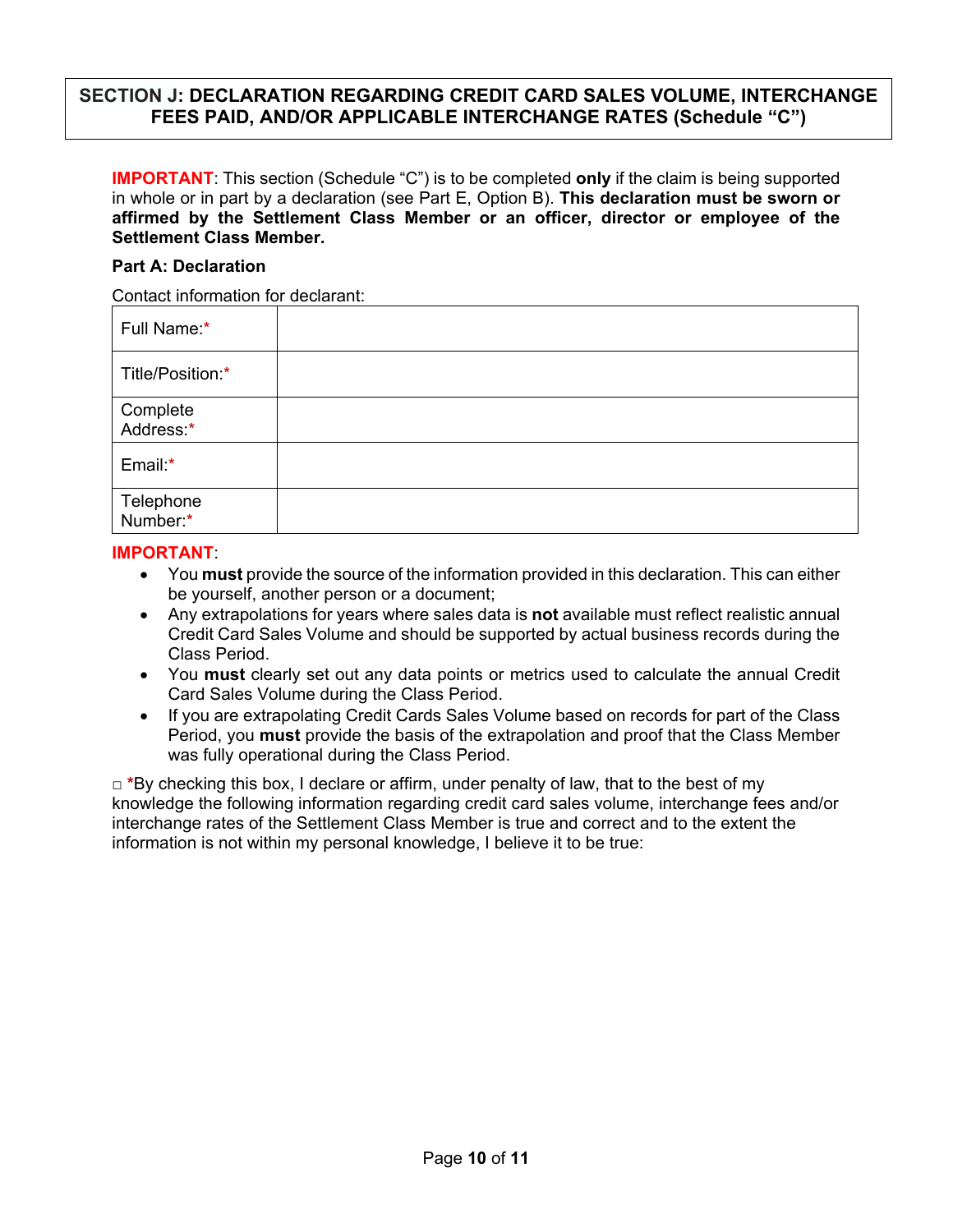## **SECTION J: DECLARATION REGARDING CREDIT CARD SALES VOLUME, INTERCHANGE FEES PAID, AND/OR APPLICABLE INTERCHANGE RATES (Schedule "C")**

**IMPORTANT:** This section (Schedule "C") is to be completed only if the claim is being supported in whole or in part by a declaration (see Part E, Option B). **This declaration must be sworn or affirmed by the Settlement Class Member or an officer, director or employee of the Settlement Class Member.**

#### **Part A: Declaration**

Contact information for declarant:

| Full Name:*           |  |
|-----------------------|--|
| Title/Position:*      |  |
| Complete<br>Address:* |  |
| Email:*               |  |
| Telephone<br>Number:* |  |

#### **IMPORTANT**:

- You **must** provide the source of the information provided in this declaration. This can either be yourself, another person or a document;
- Any extrapolations for years where sales data is **not** available must reflect realistic annual Credit Card Sales Volume and should be supported by actual business records during the Class Period.
- You **must** clearly set out any data points or metrics used to calculate the annual Credit Card Sales Volume during the Class Period.
- If you are extrapolating Credit Cards Sales Volume based on records for part of the Class Period, you **must** provide the basis of the extrapolation and proof that the Class Member was fully operational during the Class Period.

□ **\***By checking this box, I declare or affirm, under penalty of law, that to the best of my knowledge the following information regarding credit card sales volume, interchange fees and/or interchange rates of the Settlement Class Member is true and correct and to the extent the information is not within my personal knowledge, I believe it to be true: